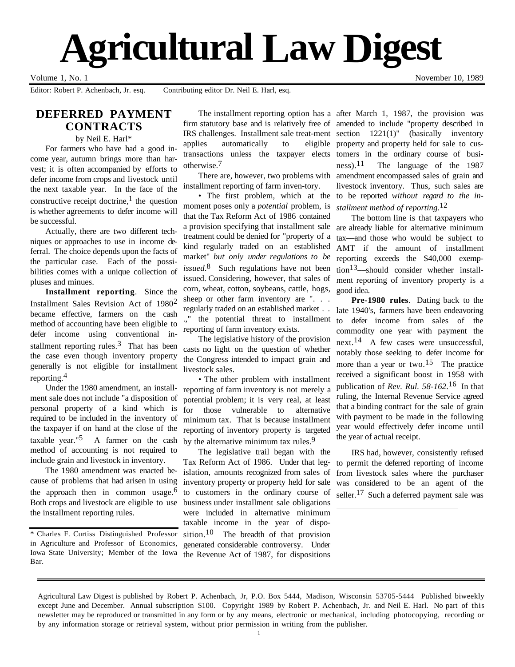# **Agricultural Law Digest**

#### Volume 1, No. 1 November 10, 1989

Editor: Robert P. Achenbach, Jr. esq. Contributing editor Dr. Neil E. Harl, esq.

# **DEFERRED PAYMENT CONTRACTS**

by Neil E. Harl\*

For farmers who have had a good income year, autumn brings more than harvest; it is often accompanied by efforts to defer income from crops and livestock until the next taxable year. In the face of the constructive receipt doctrine,<sup>1</sup> the question is whether agreements to defer income will be successful.

Actually, there are two different techniques or approaches to use in income deferral. The choice depends upon the facts of the particular case. Each of the possibilities comes with a unique collection of pluses and minues.

**Installment reporting**. Since the Installment Sales Revision Act of 19802 became effective, farmers on the cash method of accounting have been eligible to defer income using conventional installment reporting rules. $3$  That has been the case even though inventory property generally is not eligible for installment reporting.4

Under the 1980 amendment, an installment sale does not include "a disposition of personal property of a kind which is required to be included in the inventory of the taxpayer if on hand at the close of the taxable year." $5$  A farmer on the cash method of accounting is not required to include grain and livestock in inventory.

The 1980 amendment was enacted because of problems that had arisen in using the approach then in common usage.<sup>6</sup> Both crops and livestock are eligible to use the installment reporting rules.

\* Charles F. Curtiss Distinguished Professor in Agriculture and Professor of Economics, Iowa State University; Member of the Iowa Bar.

firm statutory base and is relatively free of amended to include "property described in IRS challenges. Installment sale treat-ment section 1221(1)" (basically inventory applies automatically to transactions unless the taxpayer elects tomers in the ordinary course of busiotherwise.7

There are, however, two problems with installment reporting of farm inven-tory.

• The first problem, which at the moment poses only a *potential* problem, is that the Tax Reform Act of 1986 contained a provision specifying that installment sale treatment could be denied for "property of a kind regularly traded on an established market" *but only under regulations to be issued*. 8 Such regulations have not been issued. Considering, however, that sales of corn, wheat, cotton, soybeans, cattle, hogs, sheep or other farm inventory are "... regularly traded on an established market . . .," the potential threat to installment reporting of farm inventory exists.

The legislative history of the provision casts no light on the question of whether the Congress intended to impact grain and livestock sales.

• The other problem with installment reporting of farm inventory is not merely a potential problem; it is very real, at least for those vulnerable to alternative minimum tax. That is because installment reporting of inventory property is targeted by the alternative minimum tax rules.<sup>9</sup>

The legislative trail began with the Tax Reform Act of 1986. Under that legislation, amounts recognized from sales of inventory property or property held for sale to customers in the ordinary course of business under installment sale obligations were included in alternative minimum taxable income in the year of disposition.<sup>10</sup> The breadth of that provision generated considerable controversy. Under the Revenue Act of 1987, for dispositions

 $\overline{a}$ 

The installment reporting option has a after March 1, 1987, the provision was eligible property and property held for sale to cusness).11 The language of the 1987 amendment encompassed sales of grain and livestock inventory. Thus, such sales are to be reported *without regard to the installment method of reporting*. 12

> The bottom line is that taxpayers who are already liable for alternative minimum tax––and those who would be subject to AMT if the amount of installment reporting exceeds the \$40,000 exemp- $\text{tion}^{13}$ —should consider whether installment reporting of inventory property is a good idea.

> **Pre-1980 rules**. Dating back to the late 1940's, farmers have been endeavoring to defer income from sales of the commodity one year with payment the next.14 A few cases were unsuccessful, notably those seeking to defer income for more than a year or two.<sup>15</sup> The practice received a significant boost in 1958 with publication of *Rev. Rul. 58-162*. 16 In that ruling, the Internal Revenue Service agreed that a binding contract for the sale of grain with payment to be made in the following year would effectively defer income until the year of actual receipt.

> IRS had, however, consistently refused to permit the deferred reporting of income from livestock sales where the purchaser was considered to be an agent of the seller.<sup>17</sup> Such a deferred payment sale was

Agricultural Law Digest is published by Robert P. Achenbach, Jr, P.O. Box 5444, Madison, Wisconsin 53705-5444 Published biweekly except June and December. Annual subscription \$100. Copyright 1989 by Robert P. Achenbach, Jr. and Neil E. Harl. No part of this newsletter may be reproduced or transmitted in any form or by any means, electronic or mechanical, including photocopying, recording or by any information storage or retrieval system, without prior permission in writing from the publisher.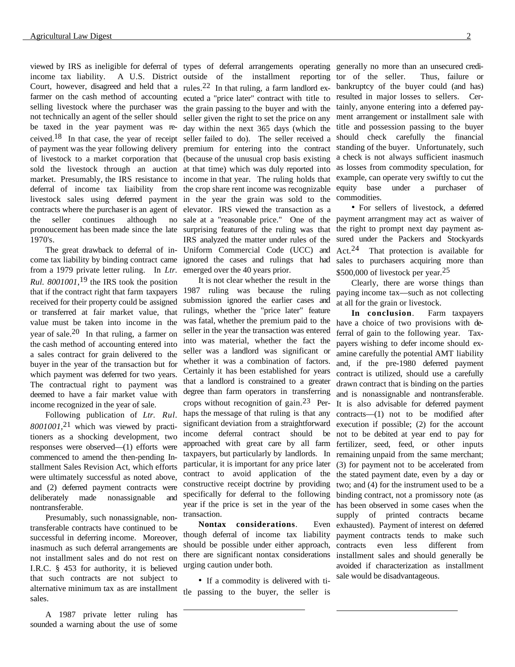viewed by IRS as ineligible for deferral of types of deferral arrangements operating generally no more than an unsecured crediincome tax liability. Court, however, disagreed and held that a farmer on the cash method of accounting selling livestock where the purchaser was not technically an agent of the seller should be taxed in the year payment was received.<sup>18</sup> In that case, the year of receipt of payment was the year following delivery of livestock to a market corporation that sold the livestock through an auction market. Presumably, the IRS resistance to deferral of income tax liaibility from livestock sales using deferred payment contracts where the purchaser is an agent of the seller continues although no pronoucement has been made since the late 1970's.

The great drawback to deferral of income tax liability by binding contract came from a 1979 private letter ruling. In *Ltr. Rul. 8001001*, 19 the IRS took the position that if the contract right that farm taxpayers received for their property could be assigned or transferred at fair market value, that value must be taken into income in the year of sale.<sup>20</sup> In that ruling, a farmer on the cash method of accounting entered into a sales contract for grain delivered to the buyer in the year of the transaction but for which payment was deferred for two years. The contractual right to payment was deemed to have a fair market value with income recognized in the year of sale.

Following publication of *Ltr. Rul. 8001001*, 21 which was viewed by practitioners as a shocking development, two responses were observed––(1) efforts were commenced to amend the then-pending Installment Sales Revision Act, which efforts were ultimately successful as noted above, and (2) deferred payment contracts were deliberately made nonassignable and nontransferable.

Presumably, such nonassignable, nontransferable contracts have continued to be successful in deferring income. Moreover, inasmuch as such deferral arrangements are not installment sales and do not rest on I.R.C. § 453 for authority, it is believed that such contracts are not subject to alternative minimum tax as are installment sales.

A 1987 private letter ruling has sounded a warning about the use of some

A U.S. District outside of the installment reporting rules.22 In that ruling, a farm landlord executed a "price later" contract with title to the grain passing to the buyer and with the seller given the right to set the price on any day within the next 365 days (which the seller failed to do). The seller received a premium for entering into the contract (because of the unusual crop basis existing at that time) which was duly reported into income in that year. The ruling holds that the crop share rent income was recognizable in the year the grain was sold to the elevator. IRS viewed the transaction as a sale at a "reasonable price." One of the surprising features of the ruling was that IRS analyzed the matter under rules of the Uniform Commercial Code (UCC) and ignored the cases and rulings that had sales to purchasers acquiring more than emerged over the 40 years prior.

It is not clear whether the result in the 1987 ruling was because the ruling submission ignored the earlier cases and rulings, whether the "price later" feature was fatal, whether the premium paid to the seller in the year the transaction was entered into was material, whether the fact the seller was a landlord was significant or whether it was a combination of factors. Certainly it has been established for years that a landlord is constrained to a greater degree than farm operators in transferring crops without recognition of gain.<sup>23</sup> Perhaps the message of that ruling is that any significant deviation from a straightforward income deferral contract should be approached with great care by all farm taxpayers, but particularly by landlords. In particular, it is important for any price later contract to avoid application of the constructive receipt doctrine by providing specifically for deferral to the following year if the price is set in the year of the transaction.

**Nontax considerations**. Even though deferral of income tax liability should be possible under either approach, there are significant nontax considerations urging caution under both.

• If a commodity is delivered with title passing to the buyer, the seller is

 $\overline{a}$ 

 $\overline{a}$ 

tor of the seller. Thus, failure or bankruptcy of the buyer could (and has) resulted in major losses to sellers. Certainly, anyone entering into a deferred payment arrangement or installment sale with title and possession passing to the buyer should check carefully the financial standing of the buyer. Unfortunately, such a check is not always sufficient inasmuch as losses from commodity speculation, for example, can operate very swiftly to cut the equity base under a purchaser of commodities.

• For sellers of livestock, a deferred payment arrangment may act as waiver of the right to prompt next day payment assured under the Packers and Stockyards Act.24 That protection is available for \$500,000 of livestock per year.<sup>25</sup>

Clearly, there are worse things than paying income tax––such as not collecting at all for the grain or livestock.

**In conclusion**. Farm taxpayers have a choice of two provisions with deferral of gain to the following year. Taxpayers wishing to defer income should examine carefully the potential AMT liability and, if the pre-1980 deferred payment contract is utilized, should use a carefully drawn contract that is binding on the parties and is nonassignable and nontransferable. It is also advisable for deferred payment contracts––(1) not to be modified after execution if possible; (2) for the account not to be debited at year end to pay for fertilizer, seed, feed, or other inputs remaining unpaid from the same merchant; (3) for payment not to be accelerated from the stated payment date, even by a day or two; and (4) for the instrument used to be a binding contract, not a promissory note (as has been observed in some cases when the supply of printed contracts became exhausted). Payment of interest on deferred payment contracts tends to make such contracts even less different from installment sales and should generally be avoided if characterization as installment sale would be disadvantageous.